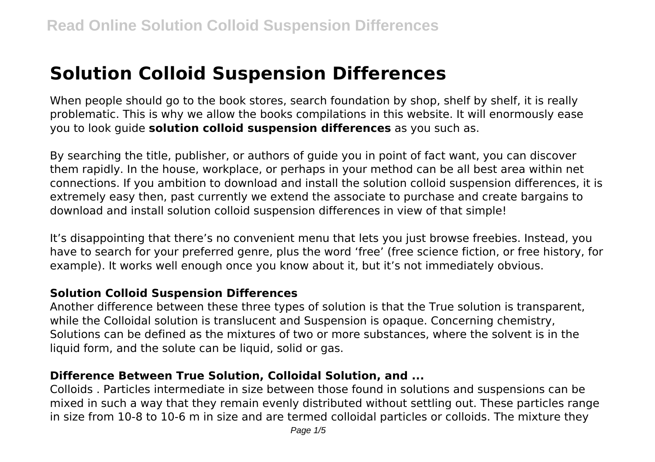# **Solution Colloid Suspension Differences**

When people should go to the book stores, search foundation by shop, shelf by shelf, it is really problematic. This is why we allow the books compilations in this website. It will enormously ease you to look guide **solution colloid suspension differences** as you such as.

By searching the title, publisher, or authors of guide you in point of fact want, you can discover them rapidly. In the house, workplace, or perhaps in your method can be all best area within net connections. If you ambition to download and install the solution colloid suspension differences, it is extremely easy then, past currently we extend the associate to purchase and create bargains to download and install solution colloid suspension differences in view of that simple!

It's disappointing that there's no convenient menu that lets you just browse freebies. Instead, you have to search for your preferred genre, plus the word 'free' (free science fiction, or free history, for example). It works well enough once you know about it, but it's not immediately obvious.

#### **Solution Colloid Suspension Differences**

Another difference between these three types of solution is that the True solution is transparent, while the Colloidal solution is translucent and Suspension is opaque. Concerning chemistry, Solutions can be defined as the mixtures of two or more substances, where the solvent is in the liquid form, and the solute can be liquid, solid or gas.

# **Difference Between True Solution, Colloidal Solution, and ...**

Colloids . Particles intermediate in size between those found in solutions and suspensions can be mixed in such a way that they remain evenly distributed without settling out. These particles range in size from 10-8 to 10-6 m in size and are termed colloidal particles or colloids. The mixture they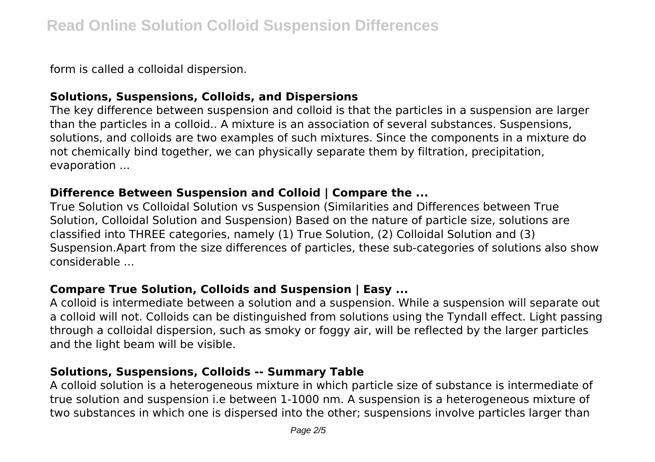form is called a colloidal dispersion.

# **Solutions, Suspensions, Colloids, and Dispersions**

The key difference between suspension and colloid is that the particles in a suspension are larger than the particles in a colloid.. A mixture is an association of several substances. Suspensions, solutions, and colloids are two examples of such mixtures. Since the components in a mixture do not chemically bind together, we can physically separate them by filtration, precipitation, evaporation ...

#### **Difference Between Suspension and Colloid | Compare the ...**

True Solution vs Colloidal Solution vs Suspension (Similarities and Differences between True Solution, Colloidal Solution and Suspension) Based on the nature of particle size, solutions are classified into THREE categories, namely (1) True Solution, (2) Colloidal Solution and (3) Suspension.Apart from the size differences of particles, these sub-categories of solutions also show considerable ...

# **Compare True Solution, Colloids and Suspension | Easy ...**

A colloid is intermediate between a solution and a suspension. While a suspension will separate out a colloid will not. Colloids can be distinguished from solutions using the Tyndall effect. Light passing through a colloidal dispersion, such as smoky or foggy air, will be reflected by the larger particles and the light beam will be visible.

#### **Solutions, Suspensions, Colloids -- Summary Table**

A colloid solution is a heterogeneous mixture in which particle size of substance is intermediate of true solution and suspension i.e between 1-1000 nm. A suspension is a heterogeneous mixture of two substances in which one is dispersed into the other; suspensions involve particles larger than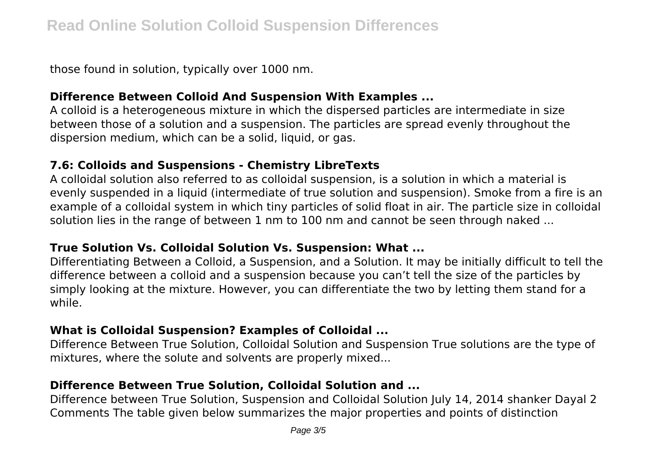those found in solution, typically over 1000 nm.

#### **Difference Between Colloid And Suspension With Examples ...**

A colloid is a heterogeneous mixture in which the dispersed particles are intermediate in size between those of a solution and a suspension. The particles are spread evenly throughout the dispersion medium, which can be a solid, liquid, or gas.

# **7.6: Colloids and Suspensions - Chemistry LibreTexts**

A colloidal solution also referred to as colloidal suspension, is a solution in which a material is evenly suspended in a liquid (intermediate of true solution and suspension). Smoke from a fire is an example of a colloidal system in which tiny particles of solid float in air. The particle size in colloidal solution lies in the range of between 1 nm to 100 nm and cannot be seen through naked ...

#### **True Solution Vs. Colloidal Solution Vs. Suspension: What ...**

Differentiating Between a Colloid, a Suspension, and a Solution. It may be initially difficult to tell the difference between a colloid and a suspension because you can't tell the size of the particles by simply looking at the mixture. However, you can differentiate the two by letting them stand for a while.

# **What is Colloidal Suspension? Examples of Colloidal ...**

Difference Between True Solution, Colloidal Solution and Suspension True solutions are the type of mixtures, where the solute and solvents are properly mixed...

# **Difference Between True Solution, Colloidal Solution and ...**

Difference between True Solution, Suspension and Colloidal Solution July 14, 2014 shanker Dayal 2 Comments The table given below summarizes the major properties and points of distinction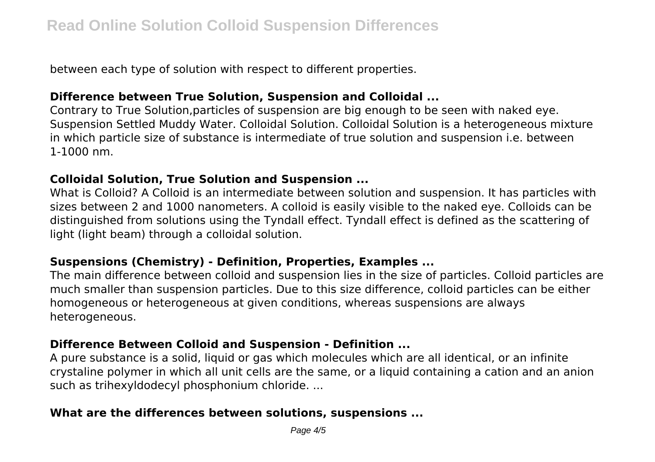between each type of solution with respect to different properties.

#### **Difference between True Solution, Suspension and Colloidal ...**

Contrary to True Solution,particles of suspension are big enough to be seen with naked eye. Suspension Settled Muddy Water. Colloidal Solution. Colloidal Solution is a heterogeneous mixture in which particle size of substance is intermediate of true solution and suspension i.e. between 1-1000 nm.

# **Colloidal Solution, True Solution and Suspension ...**

What is Colloid? A Colloid is an intermediate between solution and suspension. It has particles with sizes between 2 and 1000 nanometers. A colloid is easily visible to the naked eye. Colloids can be distinguished from solutions using the Tyndall effect. Tyndall effect is defined as the scattering of light (light beam) through a colloidal solution.

#### **Suspensions (Chemistry) - Definition, Properties, Examples ...**

The main difference between colloid and suspension lies in the size of particles. Colloid particles are much smaller than suspension particles. Due to this size difference, colloid particles can be either homogeneous or heterogeneous at given conditions, whereas suspensions are always heterogeneous.

#### **Difference Between Colloid and Suspension - Definition ...**

A pure substance is a solid, liquid or gas which molecules which are all identical, or an infinite crystaline polymer in which all unit cells are the same, or a liquid containing a cation and an anion such as trihexyldodecyl phosphonium chloride. ...

# **What are the differences between solutions, suspensions ...**